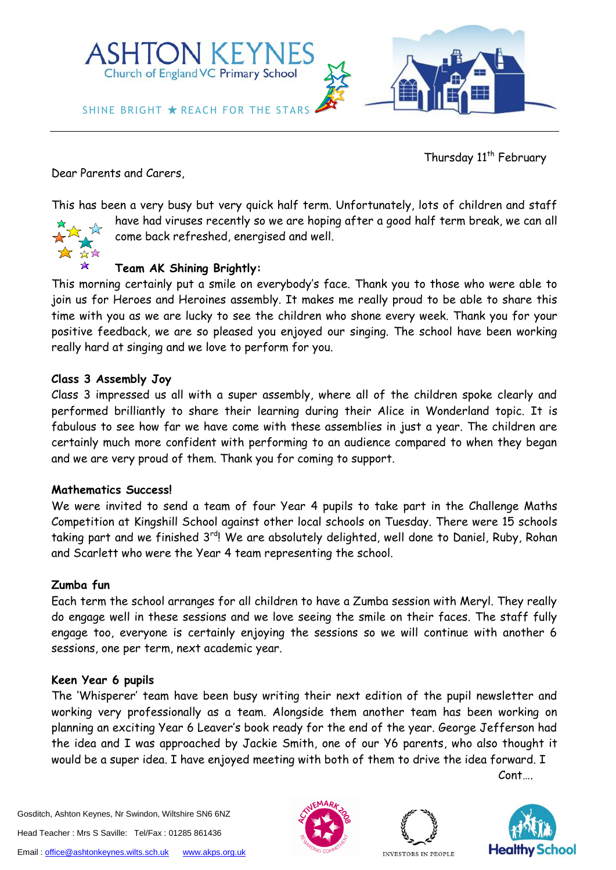

Thursday 11<sup>th</sup> February

Dear Parents and Carers,

This has been a very busy but very quick half term. Unfortunately, lots of children and staff



have had viruses recently so we are hoping after a good half term break, we can all come back refreshed, energised and well.

# **Team AK Shining Brightly:**

This morning certainly put a smile on everybody's face. Thank you to those who were able to join us for Heroes and Heroines assembly. It makes me really proud to be able to share this time with you as we are lucky to see the children who shone every week. Thank you for your positive feedback, we are so pleased you enjoyed our singing. The school have been working really hard at singing and we love to perform for you.

## **Class 3 Assembly Joy**

Class 3 impressed us all with a super assembly, where all of the children spoke clearly and performed brilliantly to share their learning during their Alice in Wonderland topic. It is fabulous to see how far we have come with these assemblies in just a year. The children are certainly much more confident with performing to an audience compared to when they began and we are very proud of them. Thank you for coming to support.

## **Mathematics Success!**

We were invited to send a team of four Year 4 pupils to take part in the Challenge Maths Competition at Kingshill School against other local schools on Tuesday. There were 15 schools taking part and we finished 3<sup>rd</sup>! We are absolutely delighted, well done to Daniel, Ruby, Rohan and Scarlett who were the Year 4 team representing the school.

## **Zumba fun**

Each term the school arranges for all children to have a Zumba session with Meryl. They really do engage well in these sessions and we love seeing the smile on their faces. The staff fully engage too, everyone is certainly enjoying the sessions so we will continue with another 6 sessions, one per term, next academic year.

## **Keen Year 6 pupils**

The 'Whisperer' team have been busy writing their next edition of the pupil newsletter and working very professionally as a team. Alongside them another team has been working on planning an exciting Year 6 Leaver's book ready for the end of the year. George Jefferson had the idea and I was approached by Jackie Smith, one of our Y6 parents, who also thought it would be a super idea. I have enjoyed meeting with both of them to drive the idea forward. I

Cont….

Gosditch, Ashton Keynes, Nr Swindon, Wiltshire SN6 6NZ Head Teacher : Mrs S Saville: Tel/Fax : 01285 861436 Email[: office@ashtonkeynes.wilts.sch.uk](mailto:office@ashtonkeynes.wilts.sch.uk) [www.akps.org.uk](http://www.akps.org.uk/)





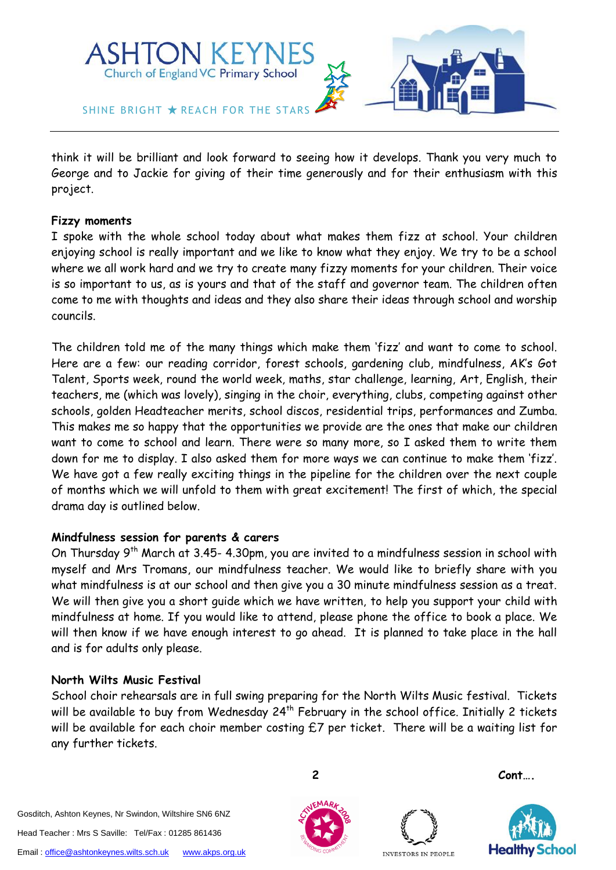

think it will be brilliant and look forward to seeing how it develops. Thank you very much to George and to Jackie for giving of their time generously and for their enthusiasm with this project.

#### **Fizzy moments**

I spoke with the whole school today about what makes them fizz at school. Your children enjoying school is really important and we like to know what they enjoy. We try to be a school where we all work hard and we try to create many fizzy moments for your children. Their voice is so important to us, as is yours and that of the staff and governor team. The children often come to me with thoughts and ideas and they also share their ideas through school and worship councils.

The children told me of the many things which make them 'fizz' and want to come to school. Here are a few: our reading corridor, forest schools, gardening club, mindfulness, AK's Got Talent, Sports week, round the world week, maths, star challenge, learning, Art, English, their teachers, me (which was lovely), singing in the choir, everything, clubs, competing against other schools, golden Headteacher merits, school discos, residential trips, performances and Zumba. This makes me so happy that the opportunities we provide are the ones that make our children want to come to school and learn. There were so many more, so I asked them to write them down for me to display. I also asked them for more ways we can continue to make them 'fizz'. We have got a few really exciting things in the pipeline for the children over the next couple of months which we will unfold to them with great excitement! The first of which, the special drama day is outlined below.

## **Mindfulness session for parents & carers**

On Thursday 9<sup>th</sup> March at 3.45- 4.30pm, you are invited to a mindfulness session in school with myself and Mrs Tromans, our mindfulness teacher. We would like to briefly share with you what mindfulness is at our school and then give you a 30 minute mindfulness session as a treat. We will then give you a short guide which we have written, to help you support your child with mindfulness at home. If you would like to attend, please phone the office to book a place. We will then know if we have enough interest to go ahead. It is planned to take place in the hall and is for adults only please.

## **North Wilts Music Festival**

School choir rehearsals are in full swing preparing for the North Wilts Music festival. Tickets will be available to buy from Wednesday 24<sup>th</sup> February in the school office. Initially 2 tickets will be available for each choir member costing £7 per ticket. There will be a waiting list for any further tickets.

Gosditch, Ashton Keynes, Nr Swindon, Wiltshire SN6 6NZ Head Teacher : Mrs S Saville: Tel/Fax : 01285 861436 Email[: office@ashtonkeynes.wilts.sch.uk](mailto:office@ashtonkeynes.wilts.sch.uk) [www.akps.org.uk](http://www.akps.org.uk/)





**2 Cont….**

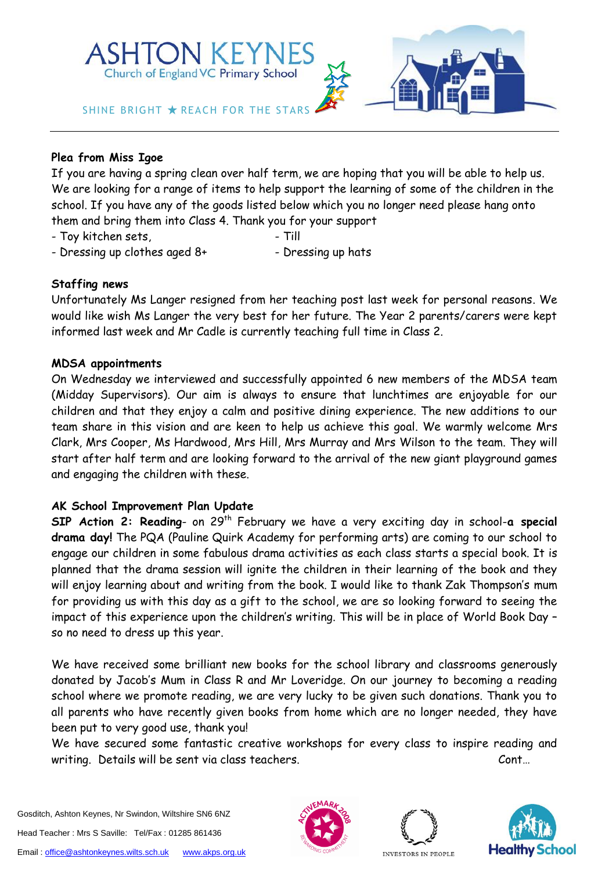

# **Plea from Miss Igoe**

If you are having a spring clean over half term, we are hoping that you will be able to help us. We are looking for a range of items to help support the learning of some of the children in the school. If you have any of the goods listed below which you no longer need please hang onto them and bring them into Class 4. Thank you for your support

- Toy kitchen sets, Till
- 
- Dressing up clothes aged 8+ Thessing up hats

## **Staffing news**

Unfortunately Ms Langer resigned from her teaching post last week for personal reasons. We would like wish Ms Langer the very best for her future. The Year 2 parents/carers were kept informed last week and Mr Cadle is currently teaching full time in Class 2.

#### **MDSA appointments**

On Wednesday we interviewed and successfully appointed 6 new members of the MDSA team (Midday Supervisors). Our aim is always to ensure that lunchtimes are enjoyable for our children and that they enjoy a calm and positive dining experience. The new additions to our team share in this vision and are keen to help us achieve this goal. We warmly welcome Mrs Clark, Mrs Cooper, Ms Hardwood, Mrs Hill, Mrs Murray and Mrs Wilson to the team. They will start after half term and are looking forward to the arrival of the new giant playground games and engaging the children with these.

## **AK School Improvement Plan Update**

**SIP Action 2: Reading**- on 29th February we have a very exciting day in school-**a special drama day!** The PQA (Pauline Quirk Academy for performing arts) are coming to our school to engage our children in some fabulous drama activities as each class starts a special book. It is planned that the drama session will ignite the children in their learning of the book and they will enjoy learning about and writing from the book. I would like to thank Zak Thompson's mum for providing us with this day as a gift to the school, we are so looking forward to seeing the impact of this experience upon the children's writing. This will be in place of World Book Day – so no need to dress up this year.

We have received some brilliant new books for the school library and classrooms generously donated by Jacob's Mum in Class R and Mr Loveridge. On our journey to becoming a reading school where we promote reading, we are very lucky to be given such donations. Thank you to all parents who have recently given books from home which are no longer needed, they have been put to very good use, thank you!

We have secured some fantastic creative workshops for every class to inspire reading and writing. Details will be sent via class teachers. The conturn of the cont…